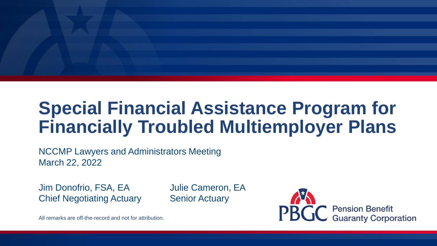# **Special Financial Assistance Program for Financially Troubled Multiemployer Plans**

NCCMP Lawyers and Administrators Meeting March 22, 2022

Jim Donofrio, FSA, EA Julie Cameron, EA **Chief Negotiating Actuary Senior Actuary** 



All remarks are off-the-record and not for attribution.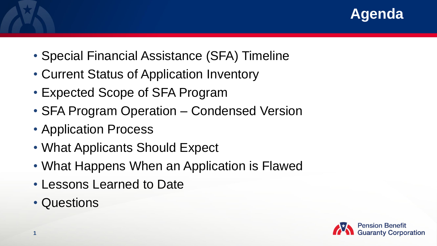

- Special Financial Assistance (SFA) Timeline
- Current Status of Application Inventory
- Expected Scope of SFA Program
- SFA Program Operation Condensed Version
- Application Process
- What Applicants Should Expect
- What Happens When an Application is Flawed
- Lessons Learned to Date
- Questions

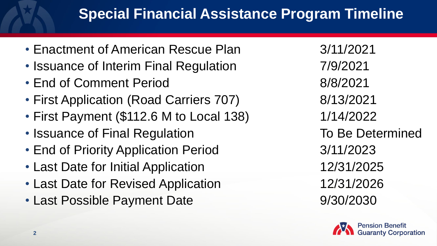### **Special Financial Assistance Program Timeline**

- Enactment of American Rescue Plan 3/11/2021
- Issuance of Interim Final Regulation 7/9/2021
- End of Comment Period 8/8/2021
- First Application (Road Carriers 707) 8/13/2021
- First Payment (\$112.6 M to Local 138) 1/14/2022
- Issuance of Final Regulation To Be Determined
- End of Priority Application Period 3/11/2023
- Last Date for Initial Application 12/31/2025
- Last Date for Revised Application 12/31/2026
- Last Possible Payment Date 9/30/2030

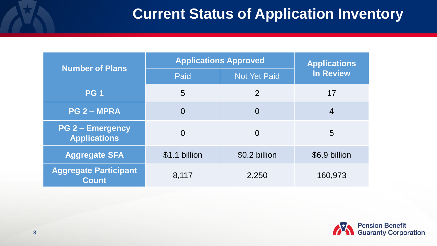#### **Current Status of Application Inventory**

| <b>Number of Plans</b>                         | <b>Applications Approved</b> | <b>Applications</b> |                  |
|------------------------------------------------|------------------------------|---------------------|------------------|
|                                                | Paid                         | <b>Not Yet Paid</b> | <b>In Review</b> |
| <b>PG1</b>                                     | 5                            | $\overline{2}$      | 17               |
| <b>PG 2 - MPRA</b>                             | $\overline{0}$               | $\overline{0}$      | $\overline{4}$   |
| <b>PG 2 - Emergency</b><br><b>Applications</b> | $\overline{0}$               | $\overline{0}$      | 5                |
| <b>Aggregate SFA</b>                           | \$1.1 billion                | \$0.2 billion       | \$6.9 billion    |
| <b>Aggregate Participant</b><br><b>Count</b>   | 8,117                        | 2,250               | 160,973          |

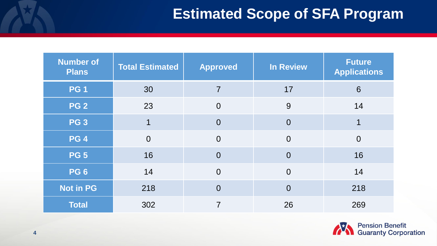#### **Estimated Scope of SFA Program**

| <b>Number of</b><br><b>Plans</b> | <b>Total Estimated</b> | <b>Approved</b> | <b>In Review</b> | <b>Future</b><br><b>Applications</b> |
|----------------------------------|------------------------|-----------------|------------------|--------------------------------------|
| <b>PG1</b>                       | 30                     | $\overline{7}$  | 17               | 6                                    |
| <b>PG 2</b>                      | 23                     | $\overline{0}$  | 9                | 14                                   |
| <b>PG 3</b>                      | $\mathbf 1$            | $\overline{0}$  | $\overline{0}$   |                                      |
| PG 4                             | $\overline{0}$         | $\overline{0}$  | $\overline{0}$   | $\overline{0}$                       |
| <b>PG 5</b>                      | 16                     | $\overline{0}$  | $\overline{0}$   | 16                                   |
| <b>PG 6</b>                      | 14                     | $\overline{0}$  | $\overline{0}$   | 14                                   |
| <b>Not in PG</b>                 | 218                    | $\overline{0}$  | $\overline{0}$   | 218                                  |
| <b>Total</b>                     | 302                    | $\overline{7}$  | 26               | 269                                  |

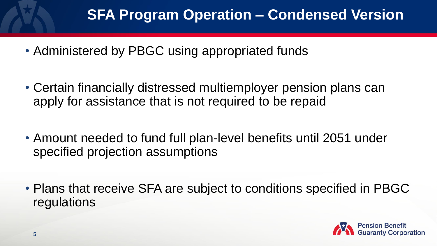#### **SFA Program Operation – Condensed Version**

- Administered by PBGC using appropriated funds
- Certain financially distressed multiemployer pension plans can apply for assistance that is not required to be repaid
- Amount needed to fund full plan-level benefits until 2051 under specified projection assumptions
- Plans that receive SFA are subject to conditions specified in PBGC regulations

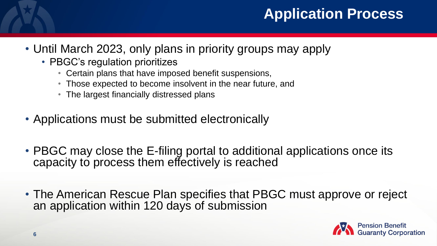#### **Application Process**

- Until March 2023, only plans in priority groups may apply
	- PBGC's regulation prioritizes
		- Certain plans that have imposed benefit suspensions,
		- Those expected to become insolvent in the near future, and
		- The largest financially distressed plans
- Applications must be submitted electronically
- PBGC may close the E-filing portal to additional applications once its capacity to process them effectively is reached
- The American Rescue Plan specifies that PBGC must approve or reject an application within 120 days of submission

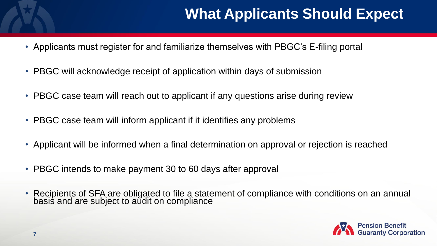# **What Applicants Should Expect**

- Applicants must register for and familiarize themselves with PBGC's E-filing portal
- PBGC will acknowledge receipt of application within days of submission
- PBGC case team will reach out to applicant if any questions arise during review
- PBGC case team will inform applicant if it identifies any problems
- Applicant will be informed when a final determination on approval or rejection is reached
- PBGC intends to make payment 30 to 60 days after approval
- Recipients of SFA are obligated to file a statement of compliance with conditions on an annual basis and are subject to aŭdit on compliance

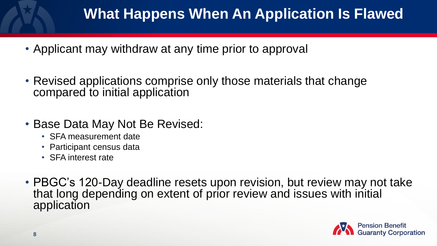# **What Happens When An Application Is Flawed**

- Applicant may withdraw at any time prior to approval
- Revised applications comprise only those materials that change compared to initial application
- Base Data May Not Be Revised:
	- SFA measurement date
	- Participant census data
	- SFA interest rate
- PBGC's 120-Day deadline resets upon revision, but review may not take that long depending on extent of prior review and issues with initial application

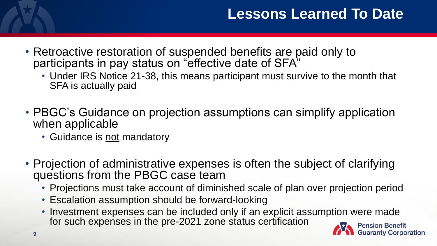- Retroactive restoration of suspended benefits are paid only to participants in pay status on "effective date of SFA"
	- Under IRS Notice 21-38, this means participant must survive to the month that SFA is actually paid
- PBGC's Guidance on projection assumptions can simplify application when applicable
	- Guidance is not mandatory
- Projection of administrative expenses is often the subject of clarifying questions from the PBGC case team
	- Projections must take account of diminished scale of plan over projection period
	- Escalation assumption should be forward-looking
	- Investment expenses can be included only if an explicit assumption were made for such expenses in the pre-2021 zone status certification

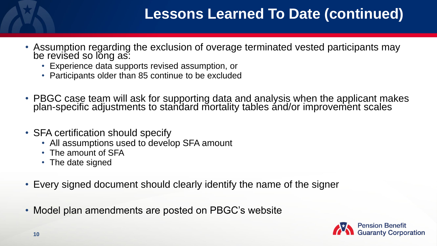# **Lessons Learned To Date (continued)**

- Assumption regarding the exclusion of overage terminated vested participants may be revised so long as:
	- Experience data supports revised assumption, or
	- Participants older than 85 continue to be excluded
- PBGC case team will ask for supporting data and analysis when the applicant makes plan-specific adjustments to standard mortality tables and/or improvement scales
- SFA certification should specify
	- All assumptions used to develop SFA amount
	- The amount of SFA
	- The date signed
- Every signed document should clearly identify the name of the signer
- Model plan amendments are posted on PBGC's website

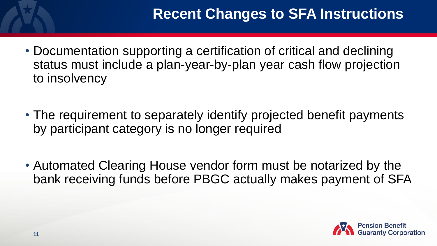- Documentation supporting a certification of critical and declining status must include a plan-year-by-plan year cash flow projection to insolvency
- The requirement to separately identify projected benefit payments by participant category is no longer required
- Automated Clearing House vendor form must be notarized by the bank receiving funds before PBGC actually makes payment of SFA

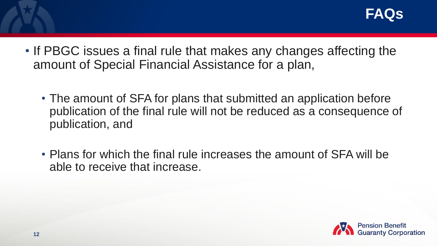- If PBGC issues a final rule that makes any changes affecting the amount of Special Financial Assistance for a plan,
	- The amount of SFA for plans that submitted an application before publication of the final rule will not be reduced as a consequence of publication, and
	- Plans for which the final rule increases the amount of SFA will be able to receive that increase.